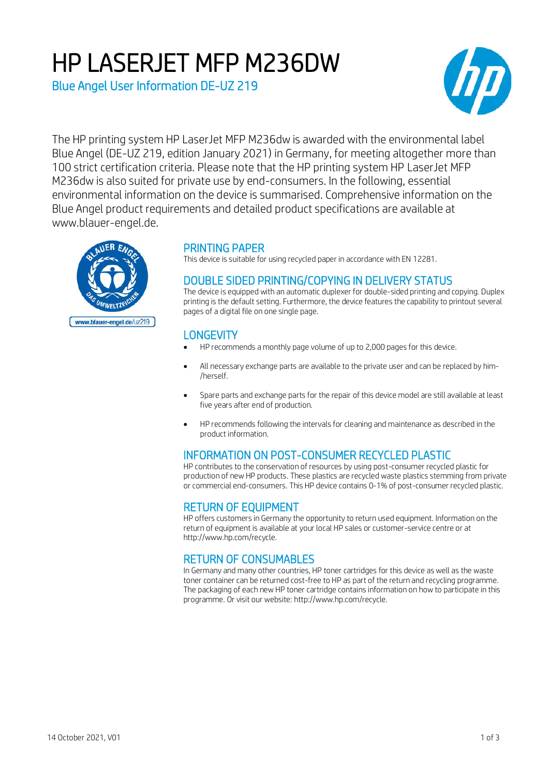# HP LASERJET MFP M236DW

Blue Angel User Information DE-UZ 219



The HP printing system HP LaserJet MFP M236dw is awarded with the environmental label Blue Angel (DE-UZ 219, edition January 2021) in Germany, for meeting altogether more than 100 strict certification criteria. Please note that the HP printing system HP LaserJet MFP M236dw is also suited for private use by end-consumers. In the following, essential environmental information on the device is summarised. Comprehensive information on the Blue Angel product requirements and detailed product specifications are available at www.blauer-engel.de.



## PRINTING PAPER

This device is suitable for using recycled paper in accordance with EN 12281.

## DOUBLE SIDED PRINTING/COPYING IN DELIVERY STATUS

The device is equipped with an automatic duplexer for double-sided printing and copying. Duplex printing is the default setting. Furthermore, the device features the capability to printout several pages of a digital file on one single page.

# **LONGEVITY**

- HP recommends a monthly page volume of up to 2,000 pages for this device.
- All necessary exchange parts are available to the private user and can be replaced by him- /herself.
- Spare parts and exchange parts for the repair of this device model are still available at least five years after end of production.
- HP recommends following the intervals for cleaning and maintenance as described in the product information.

## INFORMATION ON POST-CONSUMER RECYCLED PLASTIC

HP contributes to the conservation of resources by using post-consumer recycled plastic for production of new HP products. These plastics are recycled waste plastics stemming from private or commercial end-consumers. This HP device contains 0-1% of post-consumer recycled plastic.

## RETURN OF EQUIPMENT

HP offers customers in Germany the opportunity to return used equipment. Information on the return of equipment is available at your local HP sales or customer-service centre or at http://www.hp.com/recycle.

# RETURN OF CONSUMABLES

In Germany and many other countries, HP toner cartridges for this device as well as the waste toner container can be returned cost-free to HP as part of the return and recycling programme. The packaging of each new HP toner cartridge contains information on how to participate in this programme. Or visit our website: http://www.hp.com/recycle.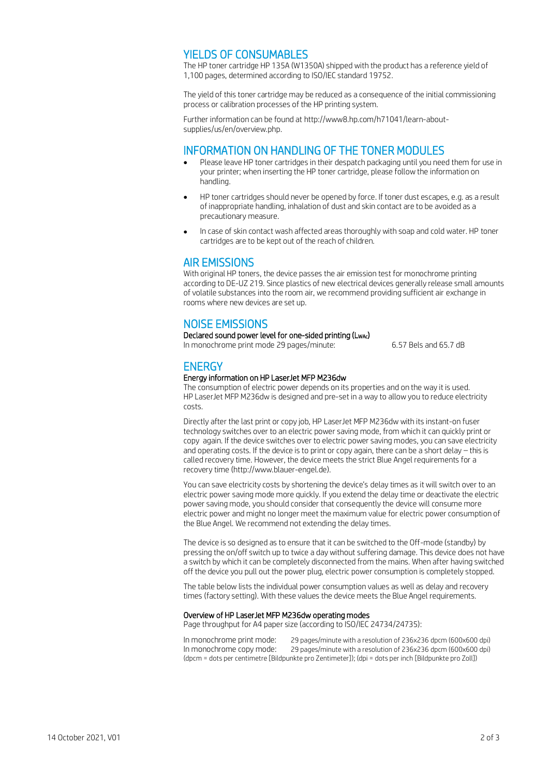### YIELDS OF CONSUMABLES

The HP toner cartridge HP 135A (W1350A) shipped with the product has a reference yield of 1,100 pages, determined according to ISO/IEC standard 19752.

The yield of this toner cartridge may be reduced as a consequence of the initial commissioning process or calibration processes of the HP printing system.

Further information can be found at http://www8.hp.com/h71041/learn-aboutsupplies/us/en/overview.php.

#### INFORMATION ON HANDLING OF THE TONER MODULES

- Please leave HP toner cartridges in their despatch packaging until you need them for use in your printer; when inserting the HP toner cartridge, please follow the information on handling.
- HP toner cartridges should never be opened by force. If toner dust escapes, e.g. as a result of inappropriate handling, inhalation of dust and skin contact are to be avoided as a precautionary measure.
- In case of skin contact wash affected areas thoroughly with soap and cold water. HP toner cartridges are to be kept out of the reach of children.

# AIR EMISSIONS

With original HP toners, the device passes the air emission test for monochrome printing according to DE-UZ 219. Since plastics of new electrical devices generally release small amounts of volatile substances into the room air, we recommend providing sufficient air exchange in rooms where new devices are set up.

## NOISE EMISSIONS

Declared sound power level for one-sided printing (LwAc)

In monochrome print mode 29 pages/minute: 6.57 Bels and 65.7 dB

## **ENERGY**

#### Energy information on HP LaserJet MFP M236dw

The consumption of electric power depends on its properties and on the way it is used. HP LaserJet MFP M236dw is designed and pre-set in a way to allow you to reduce electricity costs.

Directly after the last print or copy job, HP LaserJet MFP M236dw with its instant-on fuser technology switches over to an electric power saving mode, from which it can quickly print or copy again. If the device switches over to electric power saving modes, you can save electricity and operating costs. If the device is to print or copy again, there can be a short delay – this is called recovery time. However, the device meets the strict Blue Angel requirements for a recovery time (http://www.blauer-engel.de).

You can save electricity costs by shortening the device's delay times as it will switch over to an electric power saving mode more quickly. If you extend the delay time or deactivate the electric power saving mode, you should consider that consequently the device will consume more electric power and might no longer meet the maximum value for electric power consumption of the Blue Angel. We recommend not extending the delay times.

The device is so designed as to ensure that it can be switched to the Off-mode (standby) by pressing the on/off switch up to twice a day without suffering damage. This device does not have a switch by which it can be completely disconnected from the mains. When after having switched off the device you pull out the power plug, electric power consumption is completely stopped.

The table below lists the individual power consumption values as well as delay and recovery times (factory setting). With these values the device meets the Blue Angel requirements.

#### Overview of HP LaserJet MFP M236dw operating modes

Page throughput for A4 paper size (according to ISO/IEC 24734/24735):

In monochrome print mode: 29 pages/minute with a resolution of 236x236 dpcm (600x600 dpi) In monochrome copy mode: 29 pages/minute with a resolution of 236x236 dpcm (600x600 dpi) (dpcm = dots per centimetre [Bildpunkte pro Zentimeter]); (dpi = dots per inch [Bildpunkte pro Zoll])